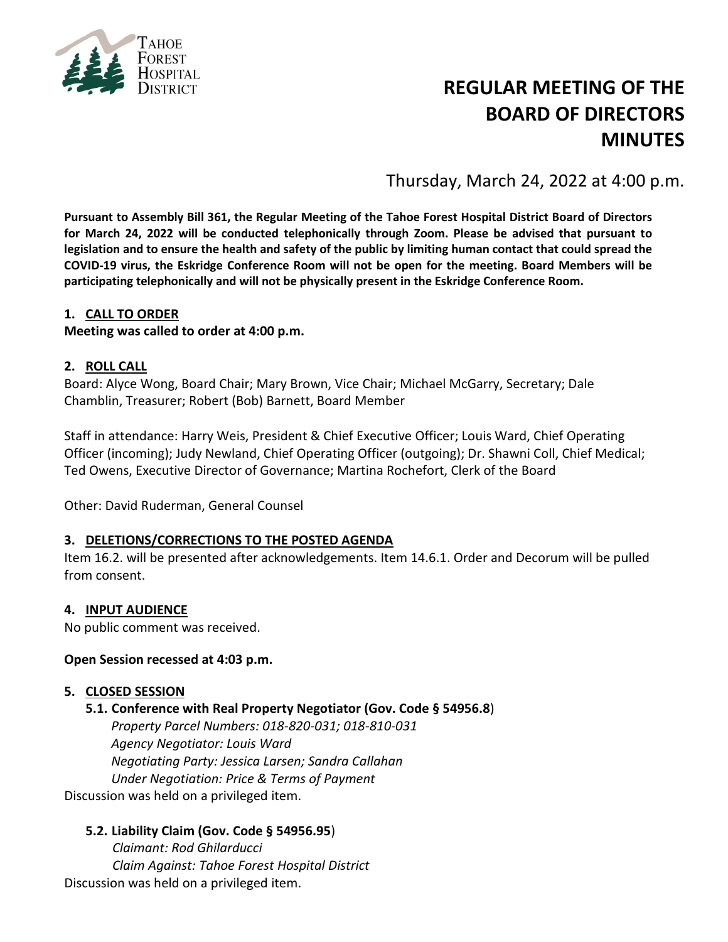

# **REGULAR MEETING OF THE BOARD OF DIRECTORS MINUTES**

Thursday, March 24, 2022 at 4:00 p.m.

**Pursuant to Assembly Bill 361, the Regular Meeting of the Tahoe Forest Hospital District Board of Directors for March 24, 2022 will be conducted telephonically through Zoom. Please be advised that pursuant to legislation and to ensure the health and safety of the public by limiting human contact that could spread the COVID-19 virus, the Eskridge Conference Room will not be open for the meeting. Board Members will be participating telephonically and will not be physically present in the Eskridge Conference Room.**

#### **1. CALL TO ORDER**

**Meeting was called to order at 4:00 p.m.**

#### **2. ROLL CALL**

Board: Alyce Wong, Board Chair; Mary Brown, Vice Chair; Michael McGarry, Secretary; Dale Chamblin, Treasurer; Robert (Bob) Barnett, Board Member

Staff in attendance: Harry Weis, President & Chief Executive Officer; Louis Ward, Chief Operating Officer (incoming); Judy Newland, Chief Operating Officer (outgoing); Dr. Shawni Coll, Chief Medical; Ted Owens, Executive Director of Governance; Martina Rochefort, Clerk of the Board

Other: David Ruderman, General Counsel

#### **3. DELETIONS/CORRECTIONS TO THE POSTED AGENDA**

Item 16.2. will be presented after acknowledgements. Item 14.6.1. Order and Decorum will be pulled from consent.

#### **4. INPUT AUDIENCE**

No public comment was received.

#### **Open Session recessed at 4:03 p.m.**

#### **5. CLOSED SESSION**

#### **5.1. Conference with Real Property Negotiator (Gov. Code § 54956.8**)

*Property Parcel Numbers: 018-820-031; 018-810-031 Agency Negotiator: Louis Ward Negotiating Party: Jessica Larsen; Sandra Callahan Under Negotiation: Price & Terms of Payment*

Discussion was held on a privileged item.

#### **5.2. Liability Claim (Gov. Code § 54956.95**)

*Claimant: Rod Ghilarducci Claim Against: Tahoe Forest Hospital District* Discussion was held on a privileged item.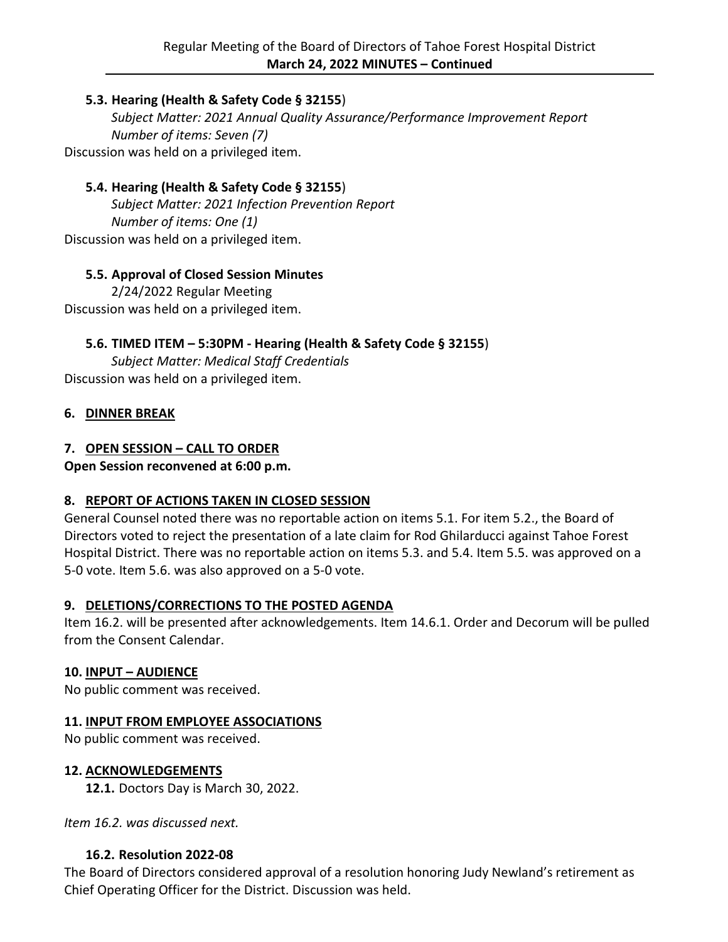# **5.3. Hearing (Health & Safety Code § 32155**)

*Subject Matter: 2021 Annual Quality Assurance/Performance Improvement Report Number of items: Seven (7)* Discussion was held on a privileged item.

# **5.4. Hearing (Health & Safety Code § 32155**)

*Subject Matter: 2021 Infection Prevention Report Number of items: One (1)* Discussion was held on a privileged item.

# **5.5. Approval of Closed Session Minutes**

2/24/2022 Regular Meeting Discussion was held on a privileged item.

# **5.6. TIMED ITEM – 5:30PM - Hearing (Health & Safety Code § 32155**)

*Subject Matter: Medical Staff Credentials* Discussion was held on a privileged item.

# **6. DINNER BREAK**

# **7. OPEN SESSION – CALL TO ORDER**

**Open Session reconvened at 6:00 p.m.**

# **8. REPORT OF ACTIONS TAKEN IN CLOSED SESSION**

General Counsel noted there was no reportable action on items 5.1. For item 5.2., the Board of Directors voted to reject the presentation of a late claim for Rod Ghilarducci against Tahoe Forest Hospital District. There was no reportable action on items 5.3. and 5.4. Item 5.5. was approved on a 5-0 vote. Item 5.6. was also approved on a 5-0 vote.

# **9. DELETIONS/CORRECTIONS TO THE POSTED AGENDA**

Item 16.2. will be presented after acknowledgements. Item 14.6.1. Order and Decorum will be pulled from the Consent Calendar.

# **10. INPUT – AUDIENCE**

No public comment was received.

# **11. INPUT FROM EMPLOYEE ASSOCIATIONS**

No public comment was received.

# **12. ACKNOWLEDGEMENTS**

**12.1.** Doctors Day is March 30, 2022.

*Item 16.2. was discussed next.*

# **16.2. Resolution 2022-08**

The Board of Directors considered approval of a resolution honoring Judy Newland's retirement as Chief Operating Officer for the District. Discussion was held.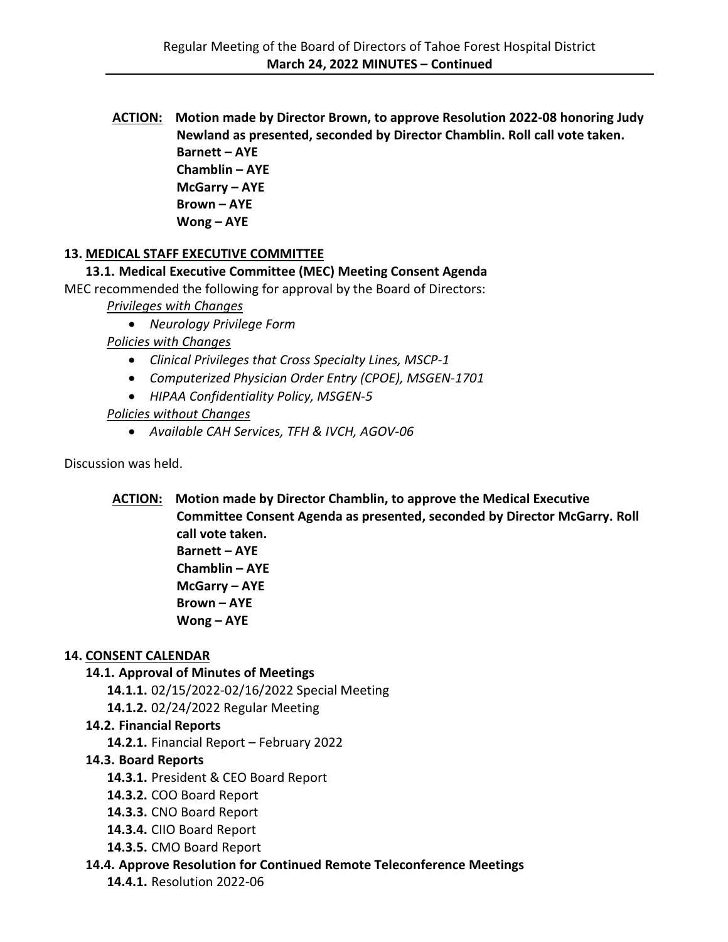**ACTION: Motion made by Director Brown, to approve Resolution 2022-08 honoring Judy Newland as presented, seconded by Director Chamblin. Roll call vote taken. Barnett – AYE Chamblin – AYE McGarry – AYE Brown – AYE Wong – AYE**

# **13. MEDICAL STAFF EXECUTIVE COMMITTEE**

**13.1. Medical Executive Committee (MEC) Meeting Consent Agenda**

MEC recommended the following for approval by the Board of Directors:

*Privileges with Changes*

• *Neurology Privilege Form*

*Policies with Changes*

- *Clinical Privileges that Cross Specialty Lines, MSCP-1*
- *Computerized Physician Order Entry (CPOE), MSGEN-1701*
- *HIPAA Confidentiality Policy, MSGEN-5*

#### *Policies without Changes*

• *Available CAH Services, TFH & IVCH, AGOV-06*

Discussion was held.

**ACTION: Motion made by Director Chamblin, to approve the Medical Executive Committee Consent Agenda as presented, seconded by Director McGarry. Roll call vote taken. Barnett – AYE Chamblin – AYE McGarry – AYE Brown – AYE Wong – AYE**

#### **14. CONSENT CALENDAR**

# **14.1. Approval of Minutes of Meetings**

**14.1.1.** 02/15/2022-02/16/2022 Special Meeting

**14.1.2.** 02/24/2022 Regular Meeting

#### **14.2. Financial Reports**

**14.2.1.** Financial Report – February 2022

# **14.3. Board Reports**

- **14.3.1.** President & CEO Board Report
- **14.3.2.** COO Board Report
- **14.3.3.** CNO Board Report
- **14.3.4.** CIIO Board Report
- **14.3.5.** CMO Board Report

# **14.4. Approve Resolution for Continued Remote Teleconference Meetings**

**14.4.1.** Resolution 2022-06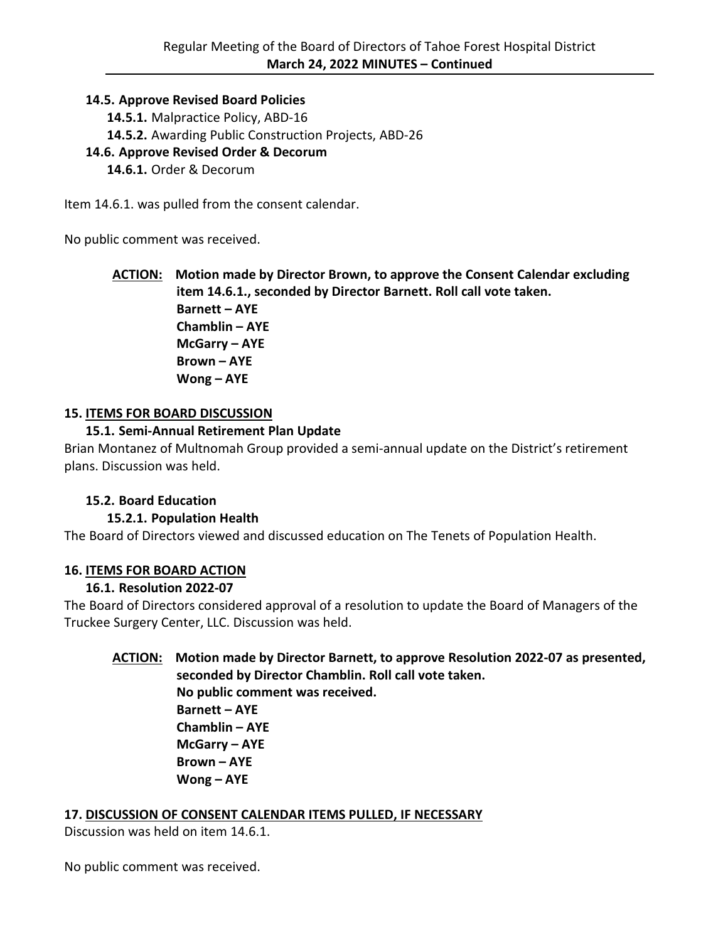#### **14.5. Approve Revised Board Policies**

- **14.5.1.** Malpractice Policy, ABD-16
- **14.5.2.** Awarding Public Construction Projects, ABD-26

# **14.6. Approve Revised Order & Decorum**

**14.6.1.** Order & Decorum

Item 14.6.1. was pulled from the consent calendar.

No public comment was received.

**ACTION: Motion made by Director Brown, to approve the Consent Calendar excluding item 14.6.1., seconded by Director Barnett. Roll call vote taken. Barnett – AYE Chamblin – AYE McGarry – AYE Brown – AYE Wong – AYE**

#### **15. ITEMS FOR BOARD DISCUSSION**

#### **15.1. Semi-Annual Retirement Plan Update**

Brian Montanez of Multnomah Group provided a semi-annual update on the District's retirement plans. Discussion was held.

# **15.2. Board Education**

# **15.2.1. Population Health**

The Board of Directors viewed and discussed education on The Tenets of Population Health.

# **16. ITEMS FOR BOARD ACTION**

# **16.1. Resolution 2022-07**

The Board of Directors considered approval of a resolution to update the Board of Managers of the Truckee Surgery Center, LLC. Discussion was held.

#### **ACTION: Motion made by Director Barnett, to approve Resolution 2022-07 as presented, seconded by Director Chamblin. Roll call vote taken. No public comment was received. Barnett – AYE Chamblin – AYE**

**McGarry – AYE Brown – AYE Wong – AYE**

#### **17. DISCUSSION OF CONSENT CALENDAR ITEMS PULLED, IF NECESSARY**

Discussion was held on item 14.6.1.

No public comment was received.